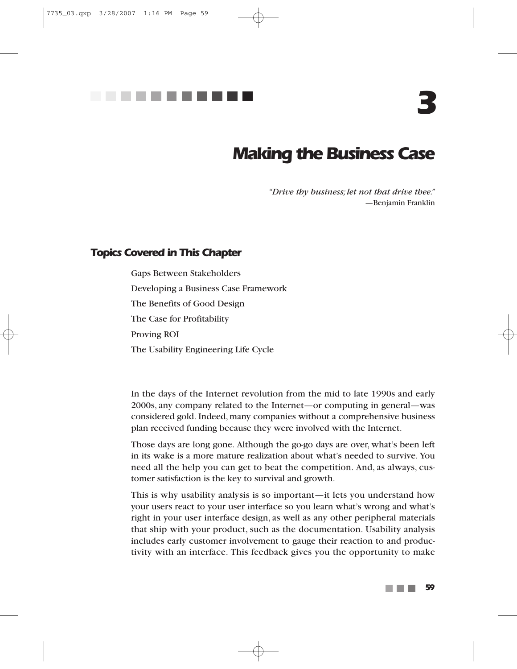

# *Making the Business Case*

*"Drive thy business; let not that drive thee."* —Benjamin Franklin

### *Topics Covered in This Chapter*

Gaps Between Stakeholders Developing a Business Case Framework The Benefits of Good Design The Case for Profitability Proving ROI The Usability Engineering Life Cycle

In the days of the Internet revolution from the mid to late 1990s and early 2000s, any company related to the Internet—or computing in general—was considered gold. Indeed, many companies without a comprehensive business plan received funding because they were involved with the Internet.

Those days are long gone. Although the go-go days are over, what's been left in its wake is a more mature realization about what's needed to survive. You need all the help you can get to beat the competition. And, as always, customer satisfaction is the key to survival and growth.

This is why usability analysis is so important—it lets you understand how your users react to your user interface so you learn what's wrong and what's right in your user interface design, as well as any other peripheral materials that ship with your product, such as the documentation. Usability analysis includes early customer involvement to gauge their reaction to and productivity with an interface. This feedback gives you the opportunity to make

> 31 D.D *59*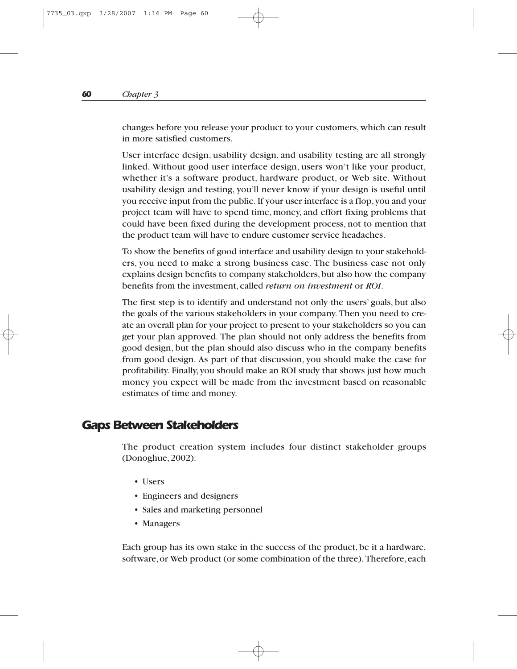changes before you release your product to your customers, which can result in more satisfied customers.

User interface design, usability design, and usability testing are all strongly linked. Without good user interface design, users won't like your product, whether it's a software product, hardware product, or Web site. Without usability design and testing, you'll never know if your design is useful until you receive input from the public. If your user interface is a flop,you and your project team will have to spend time, money, and effort fixing problems that could have been fixed during the development process, not to mention that the product team will have to endure customer service headaches.

To show the benefits of good interface and usability design to your stakeholders, you need to make a strong business case. The business case not only explains design benefits to company stakeholders, but also how the company benefits from the investment, called *return on investment* or *ROI*.

The first step is to identify and understand not only the users' goals, but also the goals of the various stakeholders in your company. Then you need to create an overall plan for your project to present to your stakeholders so you can get your plan approved. The plan should not only address the benefits from good design, but the plan should also discuss who in the company benefits from good design. As part of that discussion, you should make the case for profitability. Finally, you should make an ROI study that shows just how much money you expect will be made from the investment based on reasonable estimates of time and money.

## *Gaps Between Stakeholders*

The product creation system includes four distinct stakeholder groups (Donoghue, 2002):

- Users
- Engineers and designers
- Sales and marketing personnel
- Managers

Each group has its own stake in the success of the product, be it a hardware, software, or Web product (or some combination of the three). Therefore, each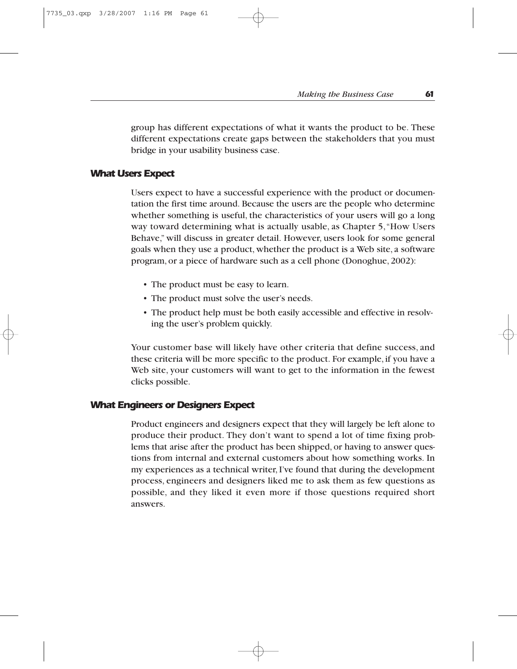group has different expectations of what it wants the product to be. These different expectations create gaps between the stakeholders that you must bridge in your usability business case.

### *What Users Expect*

Users expect to have a successful experience with the product or documentation the first time around. Because the users are the people who determine whether something is useful, the characteristics of your users will go a long way toward determining what is actually usable, as Chapter 5,"How Users Behave," will discuss in greater detail. However, users look for some general goals when they use a product, whether the product is a Web site, a software program, or a piece of hardware such as a cell phone (Donoghue, 2002):

- The product must be easy to learn.
- The product must solve the user's needs.
- The product help must be both easily accessible and effective in resolving the user's problem quickly.

Your customer base will likely have other criteria that define success, and these criteria will be more specific to the product. For example, if you have a Web site, your customers will want to get to the information in the fewest clicks possible.

#### *What Engineers or Designers Expect*

Product engineers and designers expect that they will largely be left alone to produce their product. They don't want to spend a lot of time fixing problems that arise after the product has been shipped, or having to answer questions from internal and external customers about how something works. In my experiences as a technical writer, I've found that during the development process, engineers and designers liked me to ask them as few questions as possible, and they liked it even more if those questions required short answers.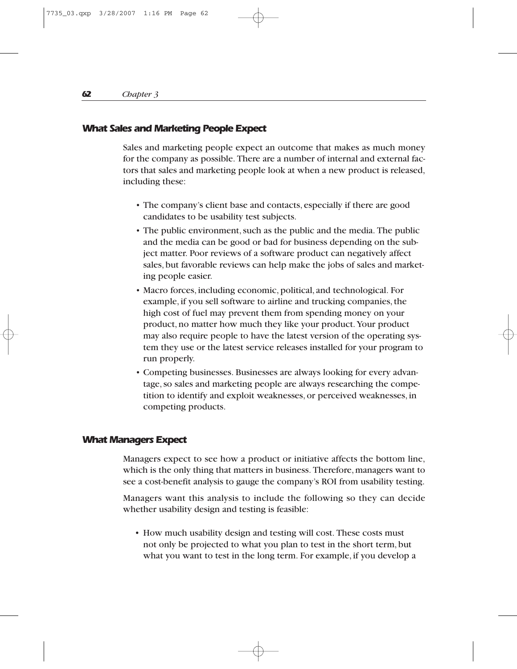### *What Sales and Marketing People Expect*

Sales and marketing people expect an outcome that makes as much money for the company as possible. There are a number of internal and external factors that sales and marketing people look at when a new product is released, including these:

- The company's client base and contacts, especially if there are good candidates to be usability test subjects.
- The public environment, such as the public and the media. The public and the media can be good or bad for business depending on the subject matter. Poor reviews of a software product can negatively affect sales, but favorable reviews can help make the jobs of sales and marketing people easier.
- Macro forces, including economic, political, and technological. For example, if you sell software to airline and trucking companies, the high cost of fuel may prevent them from spending money on your product, no matter how much they like your product. Your product may also require people to have the latest version of the operating system they use or the latest service releases installed for your program to run properly.
- Competing businesses. Businesses are always looking for every advantage, so sales and marketing people are always researching the competition to identify and exploit weaknesses, or perceived weaknesses, in competing products.

### *What Managers Expect*

Managers expect to see how a product or initiative affects the bottom line, which is the only thing that matters in business. Therefore, managers want to see a cost-benefit analysis to gauge the company's ROI from usability testing.

Managers want this analysis to include the following so they can decide whether usability design and testing is feasible:

• How much usability design and testing will cost. These costs must not only be projected to what you plan to test in the short term, but what you want to test in the long term. For example, if you develop a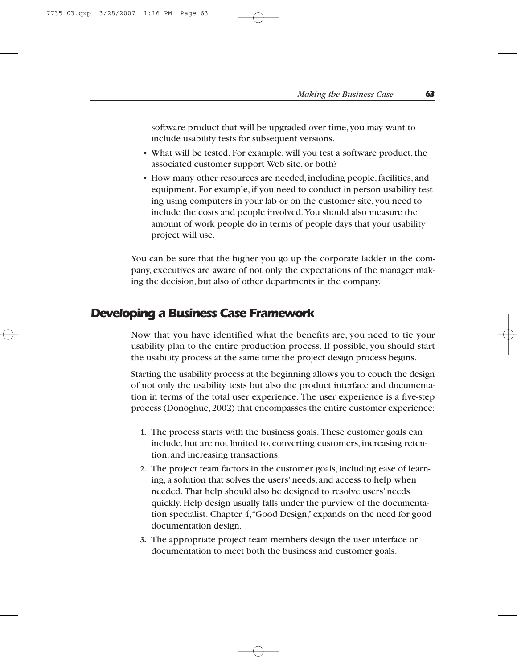software product that will be upgraded over time, you may want to include usability tests for subsequent versions.

- What will be tested. For example, will you test a software product, the associated customer support Web site, or both?
- How many other resources are needed, including people, facilities, and equipment. For example, if you need to conduct in-person usability testing using computers in your lab or on the customer site, you need to include the costs and people involved. You should also measure the amount of work people do in terms of people days that your usability project will use.

You can be sure that the higher you go up the corporate ladder in the company, executives are aware of not only the expectations of the manager making the decision, but also of other departments in the company.

## *Developing a Business Case Framework*

Now that you have identified what the benefits are, you need to tie your usability plan to the entire production process. If possible, you should start the usability process at the same time the project design process begins.

Starting the usability process at the beginning allows you to couch the design of not only the usability tests but also the product interface and documentation in terms of the total user experience. The user experience is a five-step process (Donoghue,2002) that encompasses the entire customer experience:

- **1.** The process starts with the business goals. These customer goals can include, but are not limited to, converting customers, increasing retention, and increasing transactions.
- **2.** The project team factors in the customer goals, including ease of learning, a solution that solves the users' needs, and access to help when needed. That help should also be designed to resolve users' needs quickly. Help design usually falls under the purview of the documentation specialist. Chapter 4,"Good Design,"expands on the need for good documentation design.
- **3.** The appropriate project team members design the user interface or documentation to meet both the business and customer goals.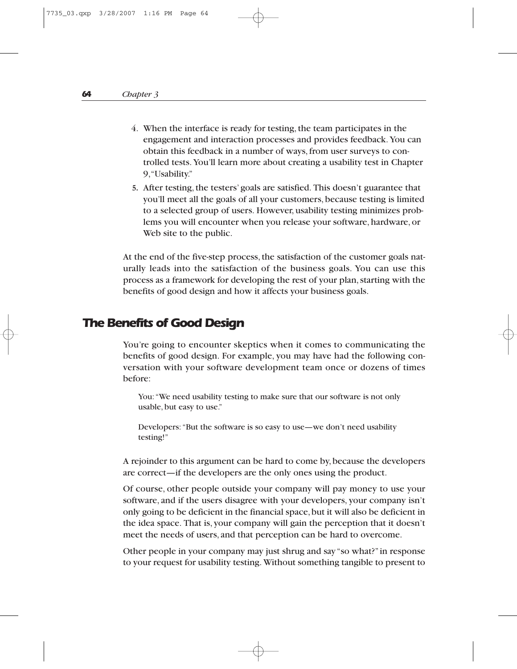- 4. When the interface is ready for testing, the team participates in the engagement and interaction processes and provides feedback. You can obtain this feedback in a number of ways, from user surveys to controlled tests. You'll learn more about creating a usability test in Chapter 9,"Usability."
- **5.** After testing, the testers' goals are satisfied. This doesn't guarantee that you'll meet all the goals of all your customers, because testing is limited to a selected group of users. However, usability testing minimizes problems you will encounter when you release your software, hardware, or Web site to the public.

At the end of the five-step process, the satisfaction of the customer goals naturally leads into the satisfaction of the business goals. You can use this process as a framework for developing the rest of your plan,starting with the benefits of good design and how it affects your business goals.

### *The Benefits of Good Design*

You're going to encounter skeptics when it comes to communicating the benefits of good design. For example, you may have had the following conversation with your software development team once or dozens of times before:

You:"We need usability testing to make sure that our software is not only usable, but easy to use."

Developers:"But the software is so easy to use—we don't need usability testing!"

A rejoinder to this argument can be hard to come by, because the developers are correct—if the developers are the only ones using the product.

Of course, other people outside your company will pay money to use your software, and if the users disagree with your developers, your company isn't only going to be deficient in the financial space,but it will also be deficient in the idea space. That is, your company will gain the perception that it doesn't meet the needs of users, and that perception can be hard to overcome.

Other people in your company may just shrug and say "so what?"in response to your request for usability testing. Without something tangible to present to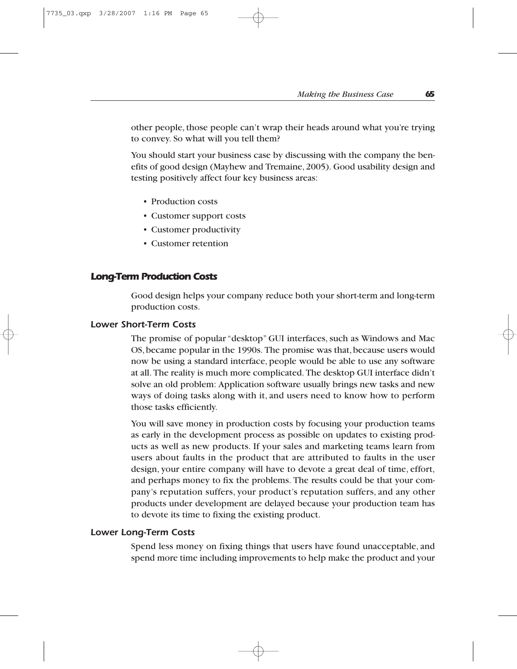other people, those people can't wrap their heads around what you're trying to convey. So what will you tell them?

You should start your business case by discussing with the company the benefits of good design (Mayhew and Tremaine,2005). Good usability design and testing positively affect four key business areas:

- Production costs
- Customer support costs
- Customer productivity
- Customer retention

### *Long-Term Production Costs*

Good design helps your company reduce both your short-term and long-term production costs.

### *Lower Short-Term Costs*

The promise of popular "desktop" GUI interfaces, such as Windows and Mac OS,became popular in the 1990s. The promise was that,because users would now be using a standard interface, people would be able to use any software at all. The reality is much more complicated. The desktop GUI interface didn't solve an old problem: Application software usually brings new tasks and new ways of doing tasks along with it, and users need to know how to perform those tasks efficiently.

You will save money in production costs by focusing your production teams as early in the development process as possible on updates to existing products as well as new products. If your sales and marketing teams learn from users about faults in the product that are attributed to faults in the user design, your entire company will have to devote a great deal of time, effort, and perhaps money to fix the problems. The results could be that your company's reputation suffers, your product's reputation suffers, and any other products under development are delayed because your production team has to devote its time to fixing the existing product.

#### *Lower Long-Term Costs*

Spend less money on fixing things that users have found unacceptable, and spend more time including improvements to help make the product and your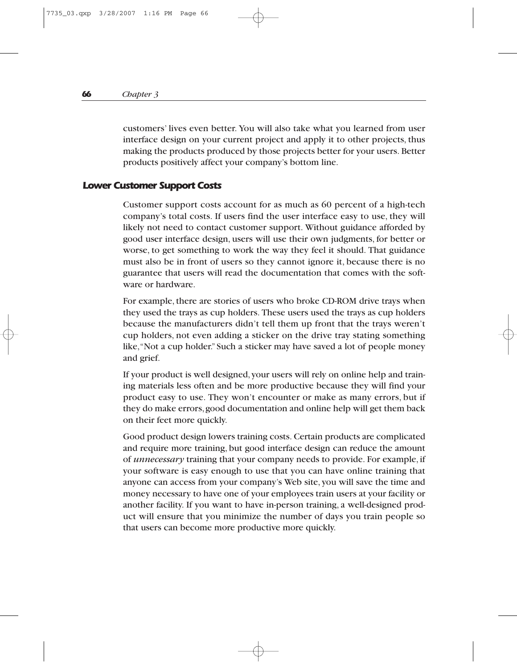customers' lives even better. You will also take what you learned from user interface design on your current project and apply it to other projects, thus making the products produced by those projects better for your users. Better products positively affect your company's bottom line.

### *Lower Customer Support Costs*

Customer support costs account for as much as 60 percent of a high-tech company's total costs. If users find the user interface easy to use, they will likely not need to contact customer support. Without guidance afforded by good user interface design, users will use their own judgments, for better or worse, to get something to work the way they feel it should. That guidance must also be in front of users so they cannot ignore it, because there is no guarantee that users will read the documentation that comes with the software or hardware.

For example, there are stories of users who broke CD-ROM drive trays when they used the trays as cup holders. These users used the trays as cup holders because the manufacturers didn't tell them up front that the trays weren't cup holders, not even adding a sticker on the drive tray stating something like,"Not a cup holder." Such a sticker may have saved a lot of people money and grief.

If your product is well designed,your users will rely on online help and training materials less often and be more productive because they will find your product easy to use. They won't encounter or make as many errors, but if they do make errors,good documentation and online help will get them back on their feet more quickly.

Good product design lowers training costs. Certain products are complicated and require more training, but good interface design can reduce the amount of *unnecessary* training that your company needs to provide. For example, if your software is easy enough to use that you can have online training that anyone can access from your company's Web site, you will save the time and money necessary to have one of your employees train users at your facility or another facility. If you want to have in-person training, a well-designed product will ensure that you minimize the number of days you train people so that users can become more productive more quickly.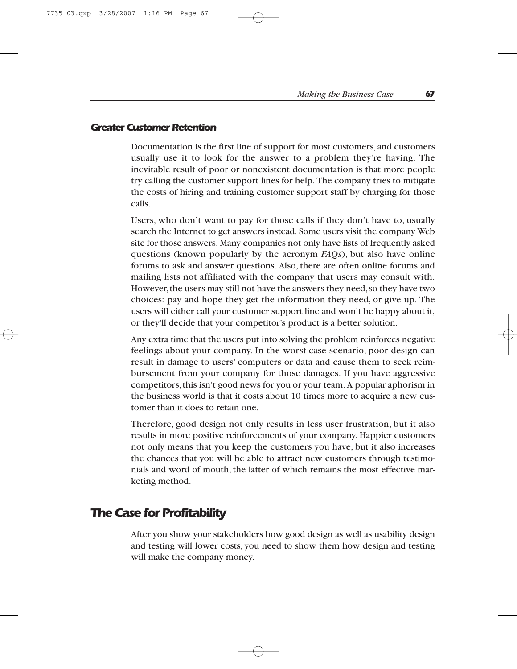### *Greater Customer Retention*

Documentation is the first line of support for most customers, and customers usually use it to look for the answer to a problem they're having. The inevitable result of poor or nonexistent documentation is that more people try calling the customer support lines for help. The company tries to mitigate the costs of hiring and training customer support staff by charging for those calls.

Users, who don't want to pay for those calls if they don't have to, usually search the Internet to get answers instead. Some users visit the company Web site for those answers. Many companies not only have lists of frequently asked questions (known popularly by the acronym *FAQs*), but also have online forums to ask and answer questions. Also, there are often online forums and mailing lists not affiliated with the company that users may consult with. However, the users may still not have the answers they need, so they have two choices: pay and hope they get the information they need, or give up. The users will either call your customer support line and won't be happy about it, or they'll decide that your competitor's product is a better solution.

Any extra time that the users put into solving the problem reinforces negative feelings about your company. In the worst-case scenario, poor design can result in damage to users' computers or data and cause them to seek reimbursement from your company for those damages. If you have aggressive competitors,this isn't good news for you or your team. A popular aphorism in the business world is that it costs about 10 times more to acquire a new customer than it does to retain one.

Therefore, good design not only results in less user frustration, but it also results in more positive reinforcements of your company. Happier customers not only means that you keep the customers you have, but it also increases the chances that you will be able to attract new customers through testimonials and word of mouth, the latter of which remains the most effective marketing method.

# *The Case for Profitability*

After you show your stakeholders how good design as well as usability design and testing will lower costs, you need to show them how design and testing will make the company money.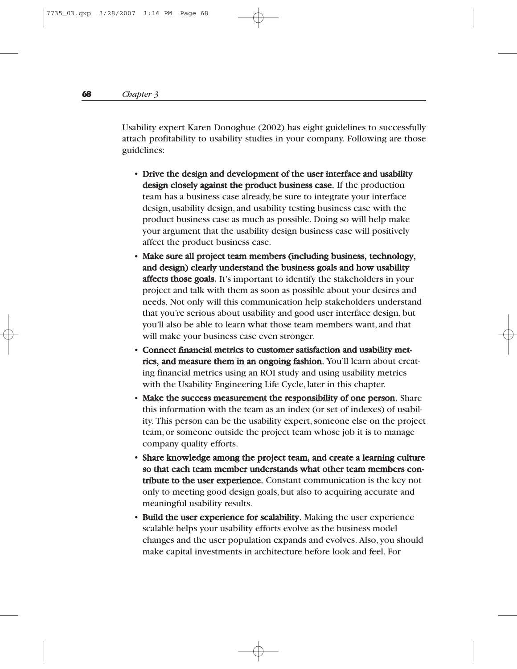Usability expert Karen Donoghue (2002) has eight guidelines to successfully attach profitability to usability studies in your company. Following are those guidelines:

- Drive the design and development of the user interface and usability design closely against the product business case. If the production team has a business case already, be sure to integrate your interface design, usability design, and usability testing business case with the product business case as much as possible. Doing so will help make your argument that the usability design business case will positively affect the product business case.
- Make sure all project team members (including business, technology, and design) clearly understand the business goals and how usability affects those goals. It's important to identify the stakeholders in your project and talk with them as soon as possible about your desires and needs. Not only will this communication help stakeholders understand that you're serious about usability and good user interface design, but you'll also be able to learn what those team members want, and that will make your business case even stronger.
- Connect financial metrics to customer satisfaction and usability metrics, and measure them in an ongoing fashion. You'll learn about creating financial metrics using an ROI study and using usability metrics with the Usability Engineering Life Cycle, later in this chapter.
- Make the success measurement the responsibility of one person. Share this information with the team as an index (or set of indexes) of usability. This person can be the usability expert, someone else on the project team, or someone outside the project team whose job it is to manage company quality efforts.
- Share knowledge among the project team, and create a learning culture so that each team member understands what other team members contribute to the user experience. Constant communication is the key not only to meeting good design goals, but also to acquiring accurate and meaningful usability results.
- Build the user experience for scalability. Making the user experience scalable helps your usability efforts evolve as the business model changes and the user population expands and evolves. Also, you should make capital investments in architecture before look and feel. For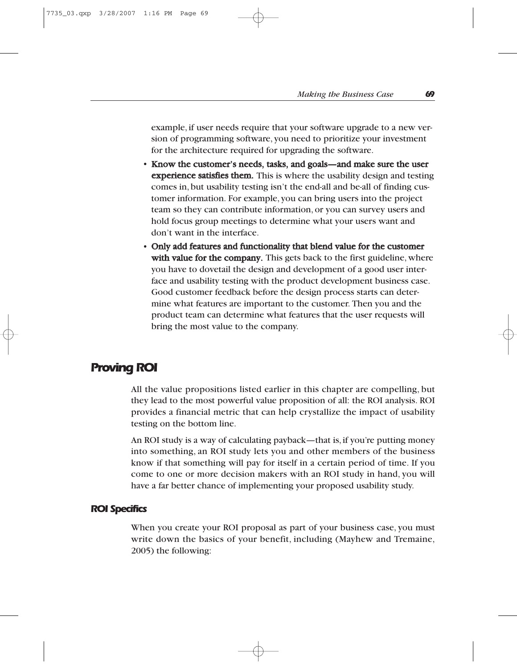example, if user needs require that your software upgrade to a new version of programming software, you need to prioritize your investment for the architecture required for upgrading the software.

- Know the customer's needs, tasks, and goals—and make sure the user experience satisfies them. This is where the usability design and testing comes in, but usability testing isn't the end-all and be-all of finding customer information. For example, you can bring users into the project team so they can contribute information, or you can survey users and hold focus group meetings to determine what your users want and don't want in the interface.
- Only add features and functionality that blend value for the customer with value for the company. This gets back to the first guideline, where you have to dovetail the design and development of a good user interface and usability testing with the product development business case. Good customer feedback before the design process starts can determine what features are important to the customer. Then you and the product team can determine what features that the user requests will bring the most value to the company.

# *Proving ROI*

All the value propositions listed earlier in this chapter are compelling, but they lead to the most powerful value proposition of all: the ROI analysis. ROI provides a financial metric that can help crystallize the impact of usability testing on the bottom line.

An ROI study is a way of calculating payback—that is,if you're putting money into something, an ROI study lets you and other members of the business know if that something will pay for itself in a certain period of time. If you come to one or more decision makers with an ROI study in hand, you will have a far better chance of implementing your proposed usability study.

### *ROI Specifics*

When you create your ROI proposal as part of your business case, you must write down the basics of your benefit, including (Mayhew and Tremaine, 2005) the following: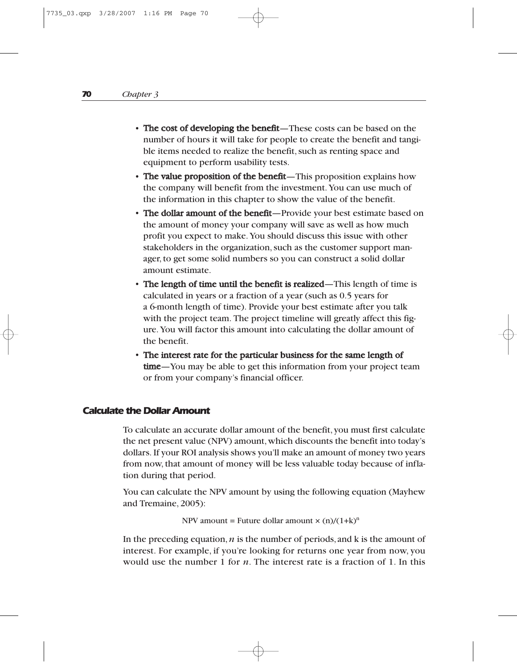- The cost of developing the benefit—These costs can be based on the number of hours it will take for people to create the benefit and tangible items needed to realize the benefit, such as renting space and equipment to perform usability tests.
- The value proposition of the benefit—This proposition explains how the company will benefit from the investment. You can use much of the information in this chapter to show the value of the benefit.
- The dollar amount of the benefit—Provide your best estimate based on the amount of money your company will save as well as how much profit you expect to make. You should discuss this issue with other stakeholders in the organization, such as the customer support manager, to get some solid numbers so you can construct a solid dollar amount estimate.
- The length of time until the benefit is realized—This length of time is calculated in years or a fraction of a year (such as 0.5 years for a 6-month length of time). Provide your best estimate after you talk with the project team. The project timeline will greatly affect this figure. You will factor this amount into calculating the dollar amount of the benefit.
- The interest rate for the particular business for the same length of time—You may be able to get this information from your project team or from your company's financial officer.

### *Calculate the Dollar Amount*

To calculate an accurate dollar amount of the benefit,you must first calculate the net present value (NPV) amount,which discounts the benefit into today's dollars. If your ROI analysis shows you'll make an amount of money two years from now, that amount of money will be less valuable today because of inflation during that period.

You can calculate the NPV amount by using the following equation (Mayhew and Tremaine, 2005):

```
NPV amount = Future dollar amount \times (n)/(1+k)<sup>n</sup>
```
In the preceding equation,*n* is the number of periods,and k is the amount of interest. For example, if you're looking for returns one year from now, you would use the number 1 for *n*. The interest rate is a fraction of 1. In this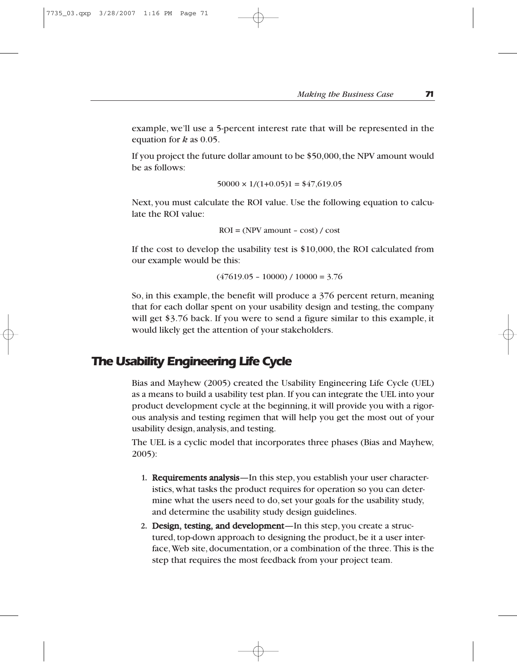example, we'll use a 5-percent interest rate that will be represented in the equation for *k* as 0.05.

If you project the future dollar amount to be \$50,000,the NPV amount would be as follows:

$$
50000 \times 1/(1+0.05)1 = $47,619.05
$$

Next, you must calculate the ROI value. Use the following equation to calculate the ROI value:

$$
ROI = (NPV amount - cost) / cost
$$

If the cost to develop the usability test is \$10,000, the ROI calculated from our example would be this:

$$
(47619.05 - 10000) / 10000 = 3.76
$$

So, in this example, the benefit will produce a 376 percent return, meaning that for each dollar spent on your usability design and testing, the company will get \$3.76 back. If you were to send a figure similar to this example, it would likely get the attention of your stakeholders.

# *The Usability Engineering Life Cycle*

Bias and Mayhew (2005) created the Usability Engineering Life Cycle (UEL) as a means to build a usability test plan. If you can integrate the UEL into your product development cycle at the beginning, it will provide you with a rigorous analysis and testing regimen that will help you get the most out of your usability design, analysis, and testing.

The UEL is a cyclic model that incorporates three phases (Bias and Mayhew, 2005):

- **1.** Requirements analysis—In this step, you establish your user characteristics, what tasks the product requires for operation so you can determine what the users need to do, set your goals for the usability study, and determine the usability study design guidelines.
- **2.** Design, testing, and development—In this step, you create a structured, top-down approach to designing the product, be it a user interface,Web site, documentation, or a combination of the three. This is the step that requires the most feedback from your project team.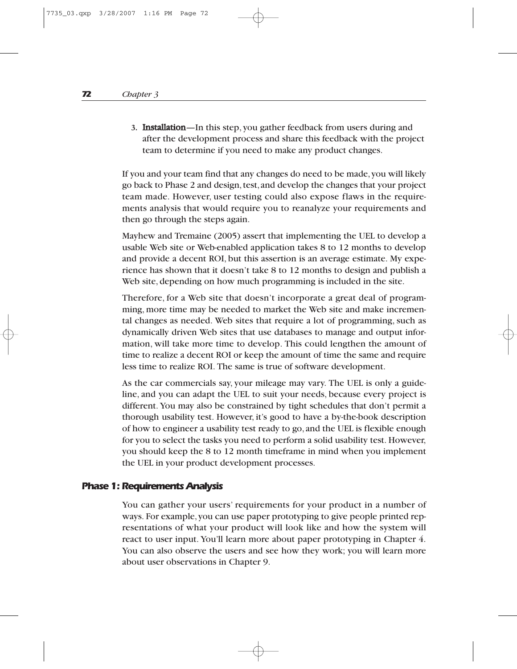**3.** Installation—In this step, you gather feedback from users during and after the development process and share this feedback with the project team to determine if you need to make any product changes.

If you and your team find that any changes do need to be made,you will likely go back to Phase 2 and design,test,and develop the changes that your project team made. However, user testing could also expose flaws in the requirements analysis that would require you to reanalyze your requirements and then go through the steps again.

Mayhew and Tremaine (2005) assert that implementing the UEL to develop a usable Web site or Web-enabled application takes 8 to 12 months to develop and provide a decent ROI, but this assertion is an average estimate. My experience has shown that it doesn't take 8 to 12 months to design and publish a Web site, depending on how much programming is included in the site.

Therefore, for a Web site that doesn't incorporate a great deal of programming, more time may be needed to market the Web site and make incremental changes as needed. Web sites that require a lot of programming, such as dynamically driven Web sites that use databases to manage and output information, will take more time to develop. This could lengthen the amount of time to realize a decent ROI or keep the amount of time the same and require less time to realize ROI. The same is true of software development.

As the car commercials say, your mileage may vary. The UEL is only a guideline, and you can adapt the UEL to suit your needs, because every project is different. You may also be constrained by tight schedules that don't permit a thorough usability test. However, it's good to have a by-the-book description of how to engineer a usability test ready to go,and the UEL is flexible enough for you to select the tasks you need to perform a solid usability test. However, you should keep the 8 to 12 month timeframe in mind when you implement the UEL in your product development processes.

### *Phase 1: Requirements Analysis*

You can gather your users' requirements for your product in a number of ways. For example,you can use paper prototyping to give people printed representations of what your product will look like and how the system will react to user input. You'll learn more about paper prototyping in Chapter 4. You can also observe the users and see how they work; you will learn more about user observations in Chapter 9.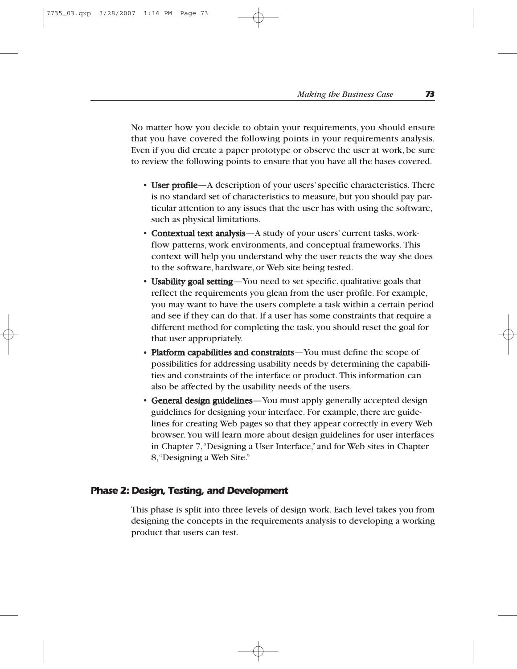No matter how you decide to obtain your requirements, you should ensure that you have covered the following points in your requirements analysis. Even if you did create a paper prototype or observe the user at work, be sure to review the following points to ensure that you have all the bases covered.

- User profile—A description of your users' specific characteristics. There is no standard set of characteristics to measure, but you should pay particular attention to any issues that the user has with using the software, such as physical limitations.
- Contextual text analysis—A study of your users' current tasks, workflow patterns, work environments, and conceptual frameworks. This context will help you understand why the user reacts the way she does to the software, hardware, or Web site being tested.
- Usability goal setting—You need to set specific, qualitative goals that reflect the requirements you glean from the user profile. For example, you may want to have the users complete a task within a certain period and see if they can do that. If a user has some constraints that require a different method for completing the task, you should reset the goal for that user appropriately.
- Platform capabilities and constraints—You must define the scope of possibilities for addressing usability needs by determining the capabilities and constraints of the interface or product. This information can also be affected by the usability needs of the users.
- General design guidelines—You must apply generally accepted design guidelines for designing your interface. For example, there are guidelines for creating Web pages so that they appear correctly in every Web browser. You will learn more about design guidelines for user interfaces in Chapter 7,"Designing a User Interface,"and for Web sites in Chapter 8,"Designing a Web Site."

### *Phase 2: Design, Testing, and Development*

This phase is split into three levels of design work. Each level takes you from designing the concepts in the requirements analysis to developing a working product that users can test.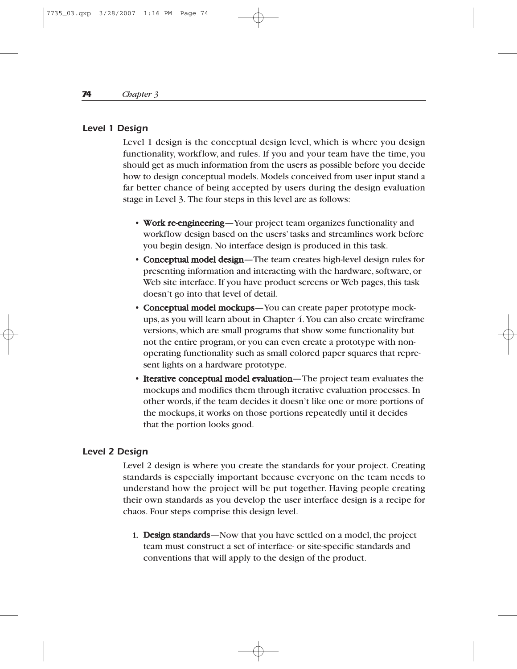### *Level 1 Design*

Level 1 design is the conceptual design level, which is where you design functionality, workflow, and rules. If you and your team have the time, you should get as much information from the users as possible before you decide how to design conceptual models. Models conceived from user input stand a far better chance of being accepted by users during the design evaluation stage in Level 3. The four steps in this level are as follows:

- Work re-engineering—Your project team organizes functionality and workflow design based on the users' tasks and streamlines work before you begin design. No interface design is produced in this task.
- Conceptual model design—The team creates high-level design rules for presenting information and interacting with the hardware, software, or Web site interface. If you have product screens or Web pages, this task doesn't go into that level of detail.
- Conceptual model mockups—You can create paper prototype mockups, as you will learn about in Chapter 4. You can also create wireframe versions, which are small programs that show some functionality but not the entire program, or you can even create a prototype with nonoperating functionality such as small colored paper squares that represent lights on a hardware prototype.
- Iterative conceptual model evaluation—The project team evaluates the mockups and modifies them through iterative evaluation processes. In other words, if the team decides it doesn't like one or more portions of the mockups, it works on those portions repeatedly until it decides that the portion looks good.

### *Level 2 Design*

Level 2 design is where you create the standards for your project. Creating standards is especially important because everyone on the team needs to understand how the project will be put together. Having people creating their own standards as you develop the user interface design is a recipe for chaos. Four steps comprise this design level.

**1.** Design standards—Now that you have settled on a model, the project team must construct a set of interface- or site-specific standards and conventions that will apply to the design of the product.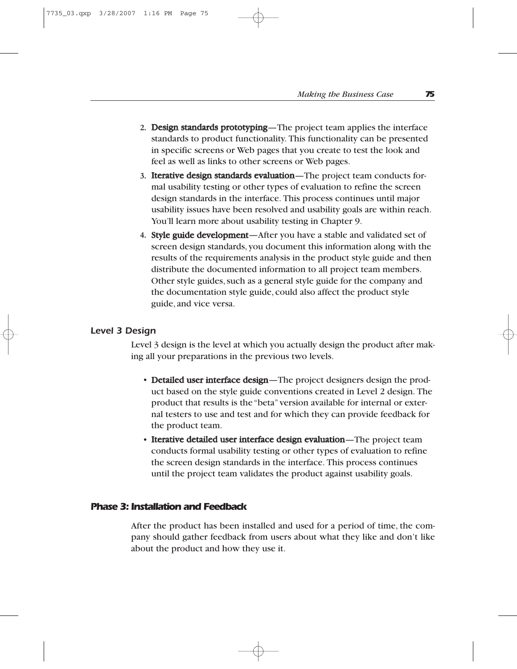- **2.** Design standards prototyping—The project team applies the interface standards to product functionality. This functionality can be presented in specific screens or Web pages that you create to test the look and feel as well as links to other screens or Web pages.
- **3.** Iterative design standards evaluation—The project team conducts formal usability testing or other types of evaluation to refine the screen design standards in the interface. This process continues until major usability issues have been resolved and usability goals are within reach. You'll learn more about usability testing in Chapter 9.
- **4.** Style guide development—After you have a stable and validated set of screen design standards, you document this information along with the results of the requirements analysis in the product style guide and then distribute the documented information to all project team members. Other style guides, such as a general style guide for the company and the documentation style guide, could also affect the product style guide, and vice versa.

#### *Level 3 Design*

Level 3 design is the level at which you actually design the product after making all your preparations in the previous two levels.

- Detailed user interface design—The project designers design the product based on the style guide conventions created in Level 2 design. The product that results is the "beta"version available for internal or external testers to use and test and for which they can provide feedback for the product team.
- Iterative detailed user interface design evaluation—The project team conducts formal usability testing or other types of evaluation to refine the screen design standards in the interface. This process continues until the project team validates the product against usability goals.

### *Phase 3: Installation and Feedback*

After the product has been installed and used for a period of time, the company should gather feedback from users about what they like and don't like about the product and how they use it.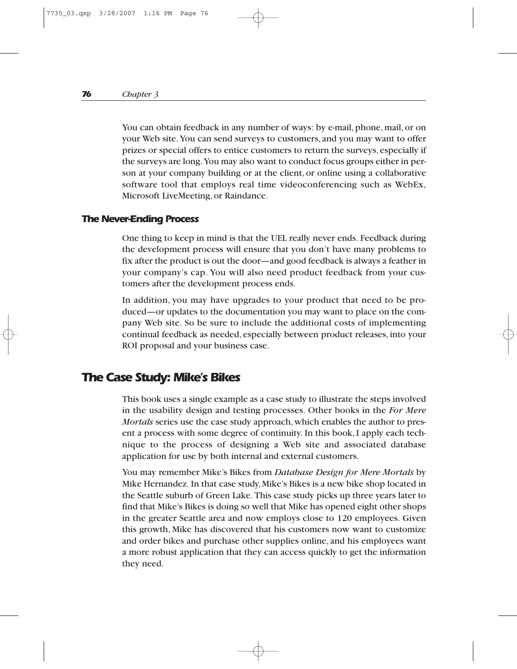You can obtain feedback in any number of ways: by e-mail, phone, mail, or on your Web site. You can send surveys to customers, and you may want to offer prizes or special offers to entice customers to return the surveys, especially if the surveys are long.You may also want to conduct focus groups either in person at your company building or at the client, or online using a collaborative software tool that employs real time videoconferencing such as WebEx, Microsoft LiveMeeting, or Raindance.

#### *The Never-Ending Process*

One thing to keep in mind is that the UEL really never ends. Feedback during the development process will ensure that you don't have many problems to fix after the product is out the door—and good feedback is always a feather in your company's cap. You will also need product feedback from your customers after the development process ends.

In addition, you may have upgrades to your product that need to be produced—or updates to the documentation you may want to place on the company Web site. So be sure to include the additional costs of implementing continual feedback as needed, especially between product releases, into your ROI proposal and your business case.

# *The Case Study: Mike's Bikes*

This book uses a single example as a case study to illustrate the steps involved in the usability design and testing processes. Other books in the *For Mere Mortals* series use the case study approach, which enables the author to present a process with some degree of continuity. In this book, I apply each technique to the process of designing a Web site and associated database application for use by both internal and external customers.

You may remember Mike's Bikes from *Database Design for Mere Mortals* by Mike Hernandez. In that case study, Mike's Bikes is a new bike shop located in the Seattle suburb of Green Lake. This case study picks up three years later to find that Mike's Bikes is doing so well that Mike has opened eight other shops in the greater Seattle area and now employs close to 120 employees. Given this growth, Mike has discovered that his customers now want to customize and order bikes and purchase other supplies online, and his employees want a more robust application that they can access quickly to get the information they need.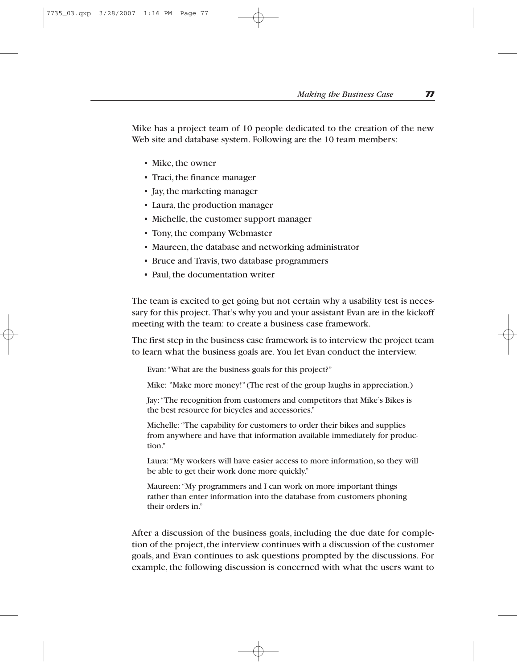Mike has a project team of 10 people dedicated to the creation of the new Web site and database system. Following are the 10 team members:

- Mike, the owner
- Traci, the finance manager
- Jay, the marketing manager
- Laura, the production manager
- Michelle, the customer support manager
- Tony, the company Webmaster
- Maureen, the database and networking administrator
- Bruce and Travis, two database programmers
- Paul, the documentation writer

The team is excited to get going but not certain why a usability test is necessary for this project. That's why you and your assistant Evan are in the kickoff meeting with the team: to create a business case framework.

The first step in the business case framework is to interview the project team to learn what the business goals are. You let Evan conduct the interview.

Evan:"What are the business goals for this project?"

Mike: "Make more money!"(The rest of the group laughs in appreciation.)

Jay:"The recognition from customers and competitors that Mike's Bikes is the best resource for bicycles and accessories."

Michelle:"The capability for customers to order their bikes and supplies from anywhere and have that information available immediately for production<sup>"</sup>

Laura:"My workers will have easier access to more information, so they will be able to get their work done more quickly."

Maureen:"My programmers and I can work on more important things rather than enter information into the database from customers phoning their orders in."

After a discussion of the business goals, including the due date for completion of the project, the interview continues with a discussion of the customer goals, and Evan continues to ask questions prompted by the discussions. For example, the following discussion is concerned with what the users want to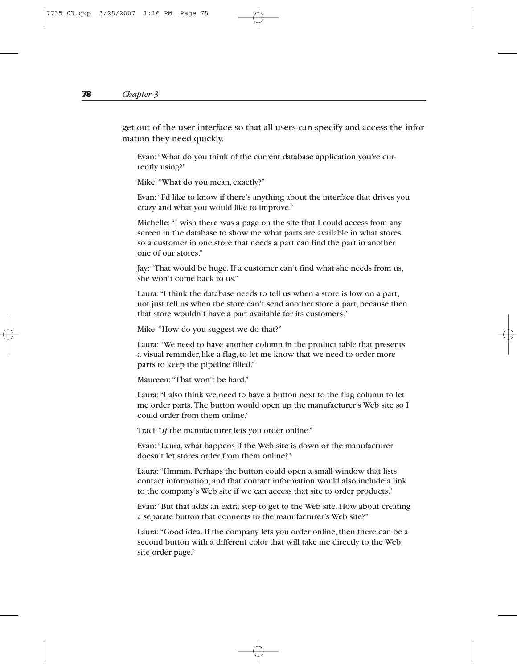get out of the user interface so that all users can specify and access the information they need quickly.

Evan:"What do you think of the current database application you're currently using?"

Mike:"What do you mean, exactly?"

Evan:"I'd like to know if there's anything about the interface that drives you crazy and what you would like to improve."

Michelle:"I wish there was a page on the site that I could access from any screen in the database to show me what parts are available in what stores so a customer in one store that needs a part can find the part in another one of our stores."

Jay:"That would be huge. If a customer can't find what she needs from us, she won't come back to us."

Laura:"I think the database needs to tell us when a store is low on a part, not just tell us when the store can't send another store a part, because then that store wouldn't have a part available for its customers."

Mike:"How do you suggest we do that?"

Laura:"We need to have another column in the product table that presents a visual reminder, like a flag, to let me know that we need to order more parts to keep the pipeline filled."

Maureen: "That won't be hard."

Laura:"I also think we need to have a button next to the flag column to let me order parts. The button would open up the manufacturer's Web site so I could order from them online."

Traci:"*If* the manufacturer lets you order online."

Evan:"Laura, what happens if the Web site is down or the manufacturer doesn't let stores order from them online?"

Laura:"Hmmm. Perhaps the button could open a small window that lists contact information, and that contact information would also include a link to the company's Web site if we can access that site to order products."

Evan:"But that adds an extra step to get to the Web site. How about creating a separate button that connects to the manufacturer's Web site?"

Laura:"Good idea. If the company lets you order online, then there can be a second button with a different color that will take me directly to the Web site order page."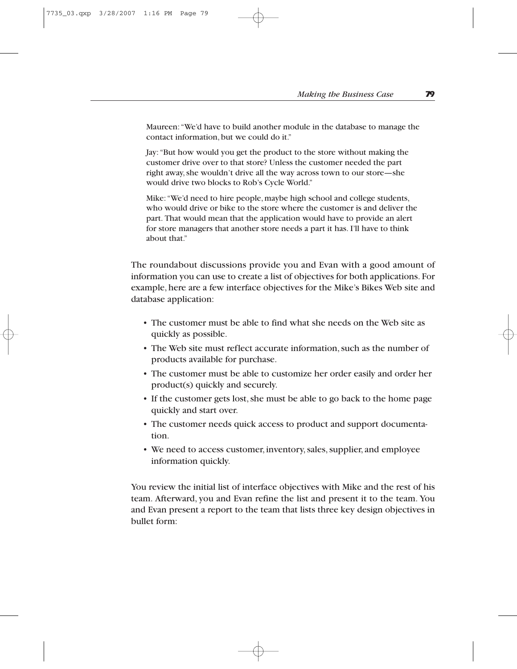Maureen:"We'd have to build another module in the database to manage the contact information, but we could do it."

Jay:"But how would you get the product to the store without making the customer drive over to that store? Unless the customer needed the part right away, she wouldn't drive all the way across town to our store—she would drive two blocks to Rob's Cycle World."

Mike:"We'd need to hire people, maybe high school and college students, who would drive or bike to the store where the customer is and deliver the part. That would mean that the application would have to provide an alert for store managers that another store needs a part it has. I'll have to think about that."

The roundabout discussions provide you and Evan with a good amount of information you can use to create a list of objectives for both applications. For example, here are a few interface objectives for the Mike's Bikes Web site and database application:

- The customer must be able to find what she needs on the Web site as quickly as possible.
- The Web site must reflect accurate information, such as the number of products available for purchase.
- The customer must be able to customize her order easily and order her product(s) quickly and securely.
- If the customer gets lost, she must be able to go back to the home page quickly and start over.
- The customer needs quick access to product and support documentation.
- We need to access customer, inventory, sales, supplier, and employee information quickly.

You review the initial list of interface objectives with Mike and the rest of his team. Afterward, you and Evan refine the list and present it to the team. You and Evan present a report to the team that lists three key design objectives in bullet form: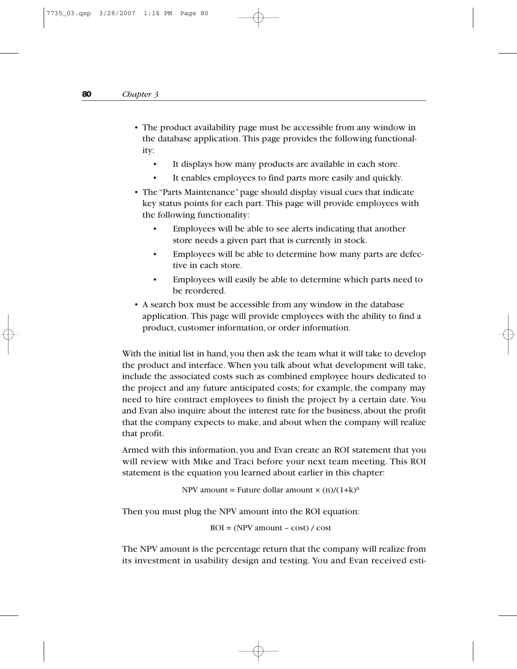- The product availability page must be accessible from any window in the database application. This page provides the following functionality:
	- It displays how many products are available in each store.
	- It enables employees to find parts more easily and quickly.
- The "Parts Maintenance"page should display visual cues that indicate key status points for each part. This page will provide employees with the following functionality:
	- Employees will be able to see alerts indicating that another store needs a given part that is currently in stock.
	- Employees will be able to determine how many parts are defective in each store.
	- Employees will easily be able to determine which parts need to be reordered.
- A search box must be accessible from any window in the database application. This page will provide employees with the ability to find a product, customer information, or order information.

With the initial list in hand, you then ask the team what it will take to develop the product and interface. When you talk about what development will take, include the associated costs such as combined employee hours dedicated to the project and any future anticipated costs; for example, the company may need to hire contract employees to finish the project by a certain date. You and Evan also inquire about the interest rate for the business, about the profit that the company expects to make, and about when the company will realize that profit.

Armed with this information, you and Evan create an ROI statement that you will review with Mike and Traci before your next team meeting. This ROI statement is the equation you learned about earlier in this chapter:

NPV amount = Future dollar amount  $\times$  (n)/(1+k)<sup>n</sup>

Then you must plug the NPV amount into the ROI equation:

$$
ROI = (NPV amount - cost) / cost
$$

The NPV amount is the percentage return that the company will realize from its investment in usability design and testing. You and Evan received esti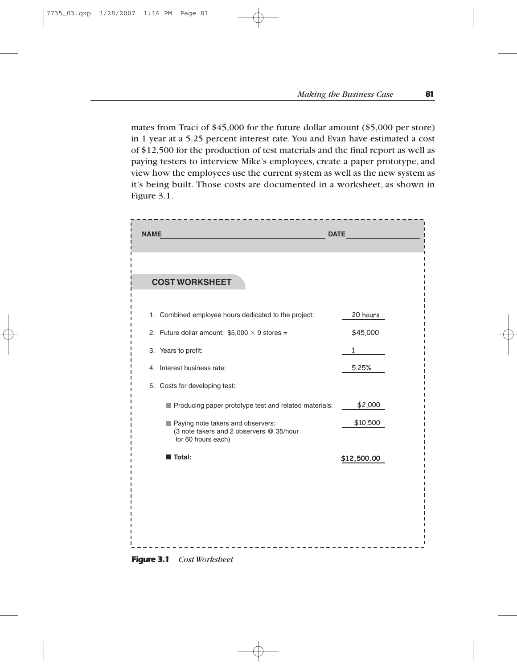mates from Traci of \$45,000 for the future dollar amount (\$5,000 per store) in 1 year at a 5.25 percent interest rate. You and Evan have estimated a cost of \$12,500 for the production of test materials and the final report as well as paying testers to interview Mike's employees, create a paper prototype, and view how the employees use the current system as well as the new system as it's being built. Those costs are documented in a worksheet, as shown in Figure 3.1.

| <b>NAME</b>                                                                                         | <b>DATE</b> |
|-----------------------------------------------------------------------------------------------------|-------------|
|                                                                                                     |             |
| <b>COST WORKSHEET</b>                                                                               |             |
| 1. Combined employee hours dedicated to the project:                                                | 20 hours    |
| 2. Future dollar amount: $$5,000 \times 9$ stores =                                                 | \$45,000    |
| 3. Years to profit:                                                                                 | 1           |
| 4. Interest business rate:                                                                          | 5.25%       |
| 5. Costs for developing test:                                                                       |             |
| Producing paper prototype test and related materials:                                               | \$2,000     |
| Paying note takers and observers:<br>(3 note takers and 2 observers @ 35/hour<br>for 60 hours each) | \$10,500    |
| Total:                                                                                              | \$12,500.00 |
|                                                                                                     |             |
|                                                                                                     |             |
|                                                                                                     |             |
|                                                                                                     |             |
|                                                                                                     |             |

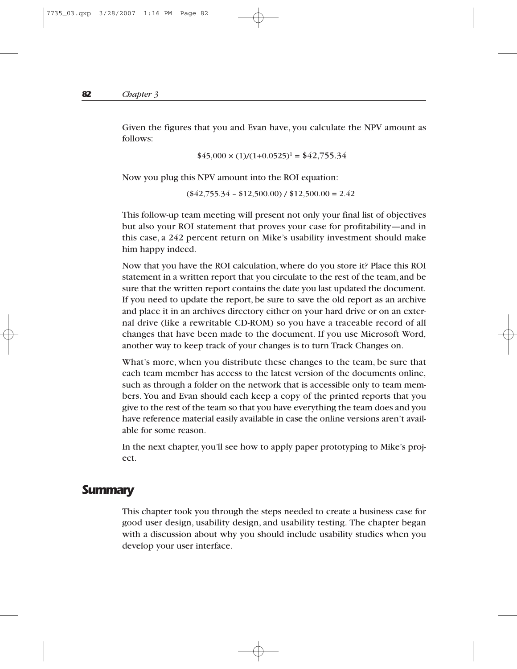Given the figures that you and Evan have, you calculate the NPV amount as follows:

$$
$45,000 \times (1)/(1+0.0525)^1 = $42,755.34
$$

Now you plug this NPV amount into the ROI equation:

 $(*42,755.34 - $12,500.00) / $12,500.00 = 2.42$ 

This follow-up team meeting will present not only your final list of objectives but also your ROI statement that proves your case for profitability—and in this case, a 242 percent return on Mike's usability investment should make him happy indeed.

Now that you have the ROI calculation, where do you store it? Place this ROI statement in a written report that you circulate to the rest of the team,and be sure that the written report contains the date you last updated the document. If you need to update the report, be sure to save the old report as an archive and place it in an archives directory either on your hard drive or on an external drive (like a rewritable CD-ROM) so you have a traceable record of all changes that have been made to the document. If you use Microsoft Word, another way to keep track of your changes is to turn Track Changes on.

What's more, when you distribute these changes to the team, be sure that each team member has access to the latest version of the documents online, such as through a folder on the network that is accessible only to team members. You and Evan should each keep a copy of the printed reports that you give to the rest of the team so that you have everything the team does and you have reference material easily available in case the online versions aren't available for some reason.

In the next chapter, you'll see how to apply paper prototyping to Mike's project.

### *Summary*

This chapter took you through the steps needed to create a business case for good user design, usability design, and usability testing. The chapter began with a discussion about why you should include usability studies when you develop your user interface.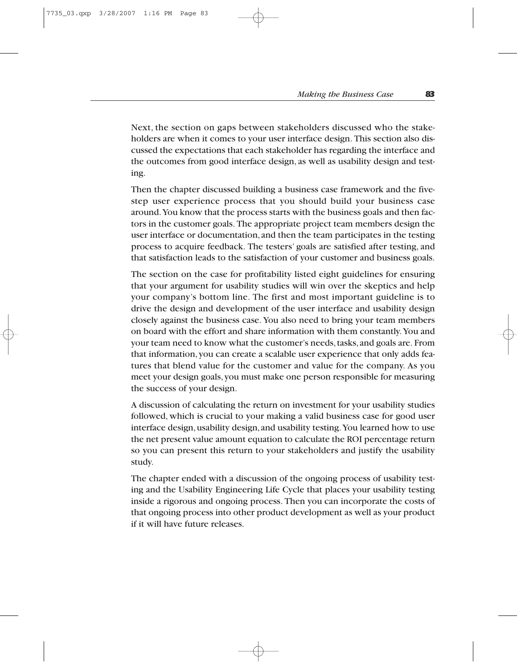Next, the section on gaps between stakeholders discussed who the stakeholders are when it comes to your user interface design. This section also discussed the expectations that each stakeholder has regarding the interface and the outcomes from good interface design, as well as usability design and testing.

Then the chapter discussed building a business case framework and the fivestep user experience process that you should build your business case around.You know that the process starts with the business goals and then factors in the customer goals. The appropriate project team members design the user interface or documentation,and then the team participates in the testing process to acquire feedback. The testers' goals are satisfied after testing, and that satisfaction leads to the satisfaction of your customer and business goals.

The section on the case for profitability listed eight guidelines for ensuring that your argument for usability studies will win over the skeptics and help your company's bottom line. The first and most important guideline is to drive the design and development of the user interface and usability design closely against the business case. You also need to bring your team members on board with the effort and share information with them constantly.You and your team need to know what the customer's needs,tasks,and goals are. From that information, you can create a scalable user experience that only adds features that blend value for the customer and value for the company. As you meet your design goals,you must make one person responsible for measuring the success of your design.

A discussion of calculating the return on investment for your usability studies followed, which is crucial to your making a valid business case for good user interface design,usability design,and usability testing.You learned how to use the net present value amount equation to calculate the ROI percentage return so you can present this return to your stakeholders and justify the usability study.

The chapter ended with a discussion of the ongoing process of usability testing and the Usability Engineering Life Cycle that places your usability testing inside a rigorous and ongoing process. Then you can incorporate the costs of that ongoing process into other product development as well as your product if it will have future releases.